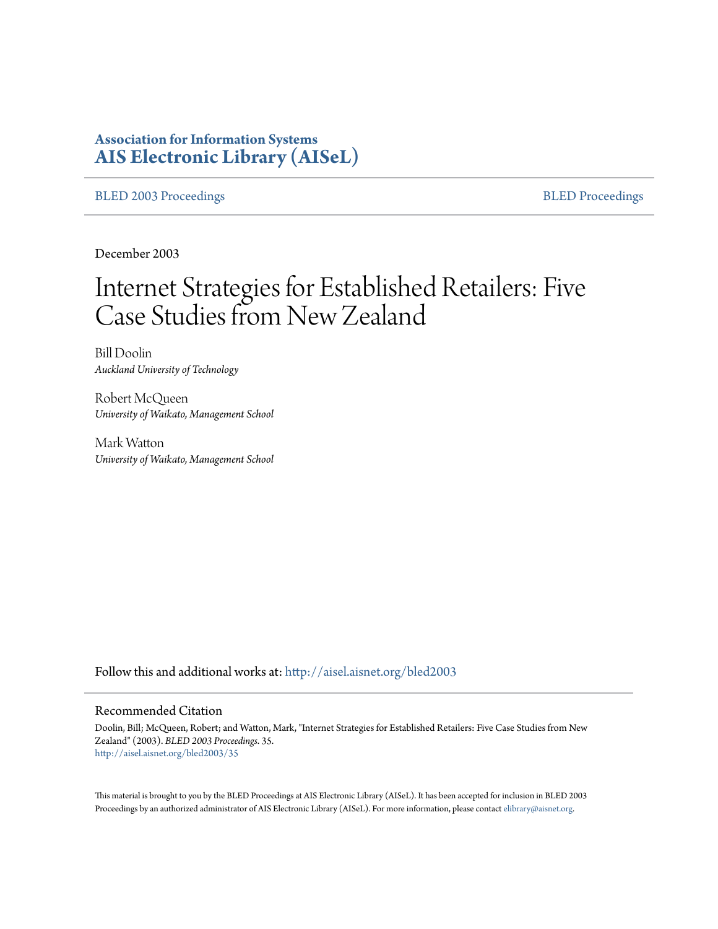# **Association for Information Systems [AIS Electronic Library \(AISeL\)](http://aisel.aisnet.org?utm_source=aisel.aisnet.org%2Fbled2003%2F35&utm_medium=PDF&utm_campaign=PDFCoverPages)**

[BLED 2003 Proceedings](http://aisel.aisnet.org/bled2003?utm_source=aisel.aisnet.org%2Fbled2003%2F35&utm_medium=PDF&utm_campaign=PDFCoverPages) and the state of the state of the [BLED Proceedings](http://aisel.aisnet.org/bled?utm_source=aisel.aisnet.org%2Fbled2003%2F35&utm_medium=PDF&utm_campaign=PDFCoverPages) and the BLED Proceedings and the BLED Proceedings and the BLED Proceedings and the BLED Proceedings and the BLED Proceedings and the BLED Proceedings

December 2003

# Internet Strategies for Established Retailers: Five Case Studies from New Zealand

Bill Doolin *Auckland University of Technology*

Robert McQueen *University of Waikato, Management School*

Mark Watton *University of Waikato, Management School*

Follow this and additional works at: [http://aisel.aisnet.org/bled2003](http://aisel.aisnet.org/bled2003?utm_source=aisel.aisnet.org%2Fbled2003%2F35&utm_medium=PDF&utm_campaign=PDFCoverPages)

#### Recommended Citation

Doolin, Bill; McQueen, Robert; and Watton, Mark, "Internet Strategies for Established Retailers: Five Case Studies from New Zealand" (2003). *BLED 2003 Proceedings*. 35. [http://aisel.aisnet.org/bled2003/35](http://aisel.aisnet.org/bled2003/35?utm_source=aisel.aisnet.org%2Fbled2003%2F35&utm_medium=PDF&utm_campaign=PDFCoverPages)

This material is brought to you by the BLED Proceedings at AIS Electronic Library (AISeL). It has been accepted for inclusion in BLED 2003 Proceedings by an authorized administrator of AIS Electronic Library (AISeL). For more information, please contact [elibrary@aisnet.org](mailto:elibrary@aisnet.org%3E).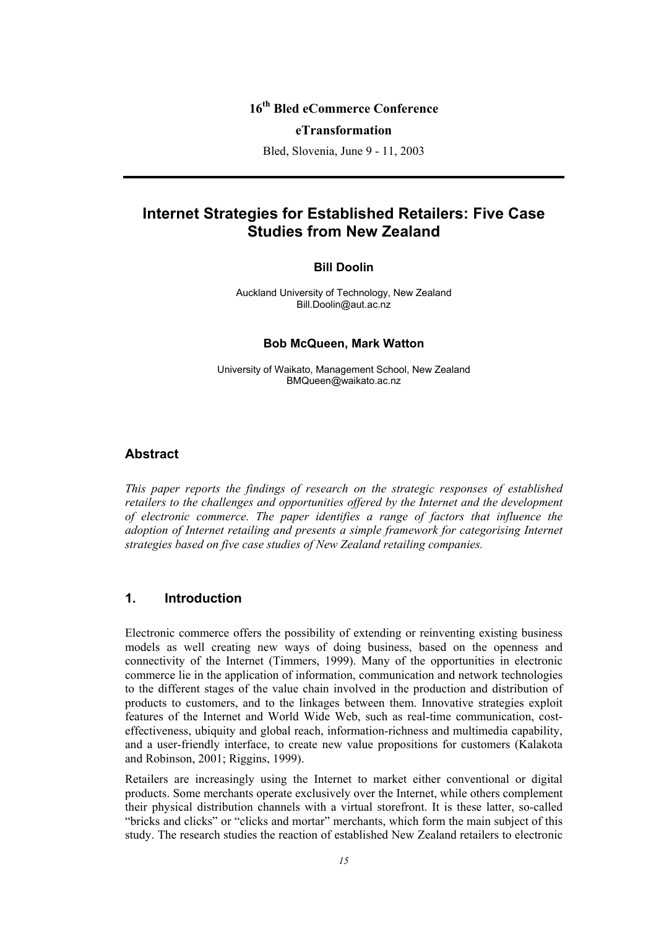# **16th Bled eCommerce Conference**

#### **eTransformation**

Bled, Slovenia, June 9 - 11, 2003

# **Internet Strategies for Established Retailers: Five Case Studies from New Zealand**

#### **Bill Doolin**

Auckland University of Technology, New Zealand Bill.Doolin@aut.ac.nz

#### **Bob McQueen, Mark Watton**

University of Waikato, Management School, New Zealand BMQueen@waikato.ac.nz

## **Abstract**

*This paper reports the findings of research on the strategic responses of established retailers to the challenges and opportunities offered by the Internet and the development of electronic commerce. The paper identifies a range of factors that influence the adoption of Internet retailing and presents a simple framework for categorising Internet strategies based on five case studies of New Zealand retailing companies.* 

## **1. Introduction**

Electronic commerce offers the possibility of extending or reinventing existing business models as well creating new ways of doing business, based on the openness and connectivity of the Internet (Timmers, 1999). Many of the opportunities in electronic commerce lie in the application of information, communication and network technologies to the different stages of the value chain involved in the production and distribution of products to customers, and to the linkages between them. Innovative strategies exploit features of the Internet and World Wide Web, such as real-time communication, costeffectiveness, ubiquity and global reach, information-richness and multimedia capability, and a user-friendly interface, to create new value propositions for customers (Kalakota and Robinson, 2001; Riggins, 1999).

Retailers are increasingly using the Internet to market either conventional or digital products. Some merchants operate exclusively over the Internet, while others complement their physical distribution channels with a virtual storefront. It is these latter, so-called "bricks and clicks" or "clicks and mortar" merchants, which form the main subject of this study. The research studies the reaction of established New Zealand retailers to electronic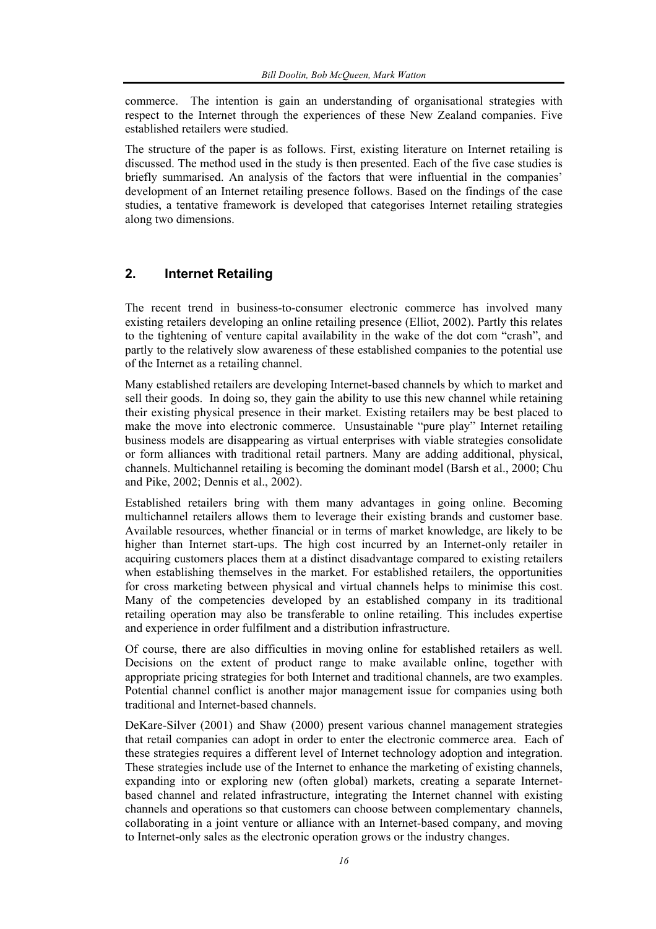commerce. The intention is gain an understanding of organisational strategies with respect to the Internet through the experiences of these New Zealand companies. Five established retailers were studied.

The structure of the paper is as follows. First, existing literature on Internet retailing is discussed. The method used in the study is then presented. Each of the five case studies is briefly summarised. An analysis of the factors that were influential in the companies' development of an Internet retailing presence follows. Based on the findings of the case studies, a tentative framework is developed that categorises Internet retailing strategies along two dimensions.

# **2. Internet Retailing**

The recent trend in business-to-consumer electronic commerce has involved many existing retailers developing an online retailing presence (Elliot, 2002). Partly this relates to the tightening of venture capital availability in the wake of the dot com "crash", and partly to the relatively slow awareness of these established companies to the potential use of the Internet as a retailing channel.

Many established retailers are developing Internet-based channels by which to market and sell their goods. In doing so, they gain the ability to use this new channel while retaining their existing physical presence in their market. Existing retailers may be best placed to make the move into electronic commerce. Unsustainable "pure play" Internet retailing business models are disappearing as virtual enterprises with viable strategies consolidate or form alliances with traditional retail partners. Many are adding additional, physical, channels. Multichannel retailing is becoming the dominant model (Barsh et al., 2000; Chu and Pike, 2002; Dennis et al., 2002).

Established retailers bring with them many advantages in going online. Becoming multichannel retailers allows them to leverage their existing brands and customer base. Available resources, whether financial or in terms of market knowledge, are likely to be higher than Internet start-ups. The high cost incurred by an Internet-only retailer in acquiring customers places them at a distinct disadvantage compared to existing retailers when establishing themselves in the market. For established retailers, the opportunities for cross marketing between physical and virtual channels helps to minimise this cost. Many of the competencies developed by an established company in its traditional retailing operation may also be transferable to online retailing. This includes expertise and experience in order fulfilment and a distribution infrastructure.

Of course, there are also difficulties in moving online for established retailers as well. Decisions on the extent of product range to make available online, together with appropriate pricing strategies for both Internet and traditional channels, are two examples. Potential channel conflict is another major management issue for companies using both traditional and Internet-based channels.

DeKare-Silver (2001) and Shaw (2000) present various channel management strategies that retail companies can adopt in order to enter the electronic commerce area. Each of these strategies requires a different level of Internet technology adoption and integration. These strategies include use of the Internet to enhance the marketing of existing channels, expanding into or exploring new (often global) markets, creating a separate Internetbased channel and related infrastructure, integrating the Internet channel with existing channels and operations so that customers can choose between complementary channels, collaborating in a joint venture or alliance with an Internet-based company, and moving to Internet-only sales as the electronic operation grows or the industry changes.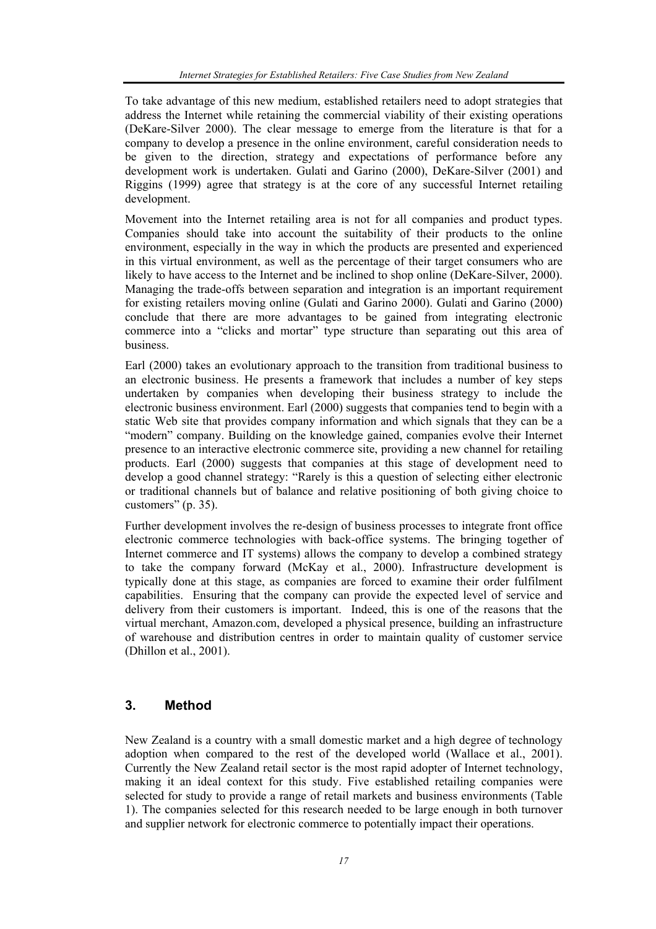To take advantage of this new medium, established retailers need to adopt strategies that address the Internet while retaining the commercial viability of their existing operations (DeKare-Silver 2000). The clear message to emerge from the literature is that for a company to develop a presence in the online environment, careful consideration needs to be given to the direction, strategy and expectations of performance before any development work is undertaken. Gulati and Garino (2000), DeKare-Silver (2001) and Riggins (1999) agree that strategy is at the core of any successful Internet retailing development.

Movement into the Internet retailing area is not for all companies and product types. Companies should take into account the suitability of their products to the online environment, especially in the way in which the products are presented and experienced in this virtual environment, as well as the percentage of their target consumers who are likely to have access to the Internet and be inclined to shop online (DeKare-Silver, 2000). Managing the trade-offs between separation and integration is an important requirement for existing retailers moving online (Gulati and Garino 2000). Gulati and Garino (2000) conclude that there are more advantages to be gained from integrating electronic commerce into a "clicks and mortar" type structure than separating out this area of business.

Earl (2000) takes an evolutionary approach to the transition from traditional business to an electronic business. He presents a framework that includes a number of key steps undertaken by companies when developing their business strategy to include the electronic business environment. Earl (2000) suggests that companies tend to begin with a static Web site that provides company information and which signals that they can be a "modern" company. Building on the knowledge gained, companies evolve their Internet presence to an interactive electronic commerce site, providing a new channel for retailing products. Earl (2000) suggests that companies at this stage of development need to develop a good channel strategy: "Rarely is this a question of selecting either electronic or traditional channels but of balance and relative positioning of both giving choice to customers" (p. 35).

Further development involves the re-design of business processes to integrate front office electronic commerce technologies with back-office systems. The bringing together of Internet commerce and IT systems) allows the company to develop a combined strategy to take the company forward (McKay et al., 2000). Infrastructure development is typically done at this stage, as companies are forced to examine their order fulfilment capabilities. Ensuring that the company can provide the expected level of service and delivery from their customers is important. Indeed, this is one of the reasons that the virtual merchant, Amazon.com, developed a physical presence, building an infrastructure of warehouse and distribution centres in order to maintain quality of customer service (Dhillon et al., 2001).

## **3. Method**

New Zealand is a country with a small domestic market and a high degree of technology adoption when compared to the rest of the developed world (Wallace et al., 2001). Currently the New Zealand retail sector is the most rapid adopter of Internet technology, making it an ideal context for this study. Five established retailing companies were selected for study to provide a range of retail markets and business environments (Table 1). The companies selected for this research needed to be large enough in both turnover and supplier network for electronic commerce to potentially impact their operations.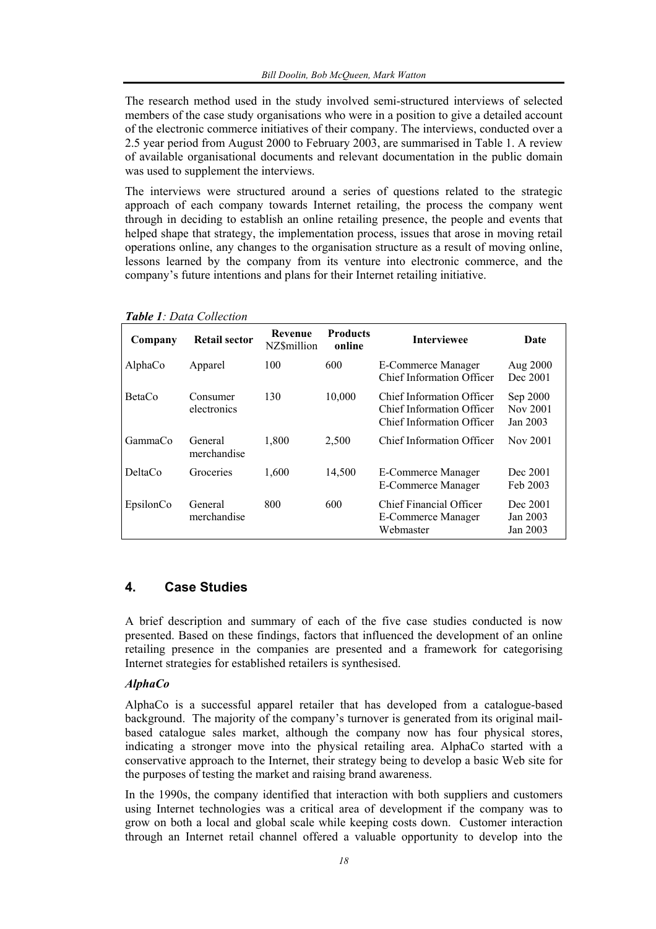The research method used in the study involved semi-structured interviews of selected members of the case study organisations who were in a position to give a detailed account of the electronic commerce initiatives of their company. The interviews, conducted over a 2.5 year period from August 2000 to February 2003, are summarised in Table 1. A review of available organisational documents and relevant documentation in the public domain was used to supplement the interviews.

The interviews were structured around a series of questions related to the strategic approach of each company towards Internet retailing, the process the company went through in deciding to establish an online retailing presence, the people and events that helped shape that strategy, the implementation process, issues that arose in moving retail operations online, any changes to the organisation structure as a result of moving online, lessons learned by the company from its venture into electronic commerce, and the company's future intentions and plans for their Internet retailing initiative.

| Company       | <b>Retail sector</b>    | Revenue<br><b>NZ\$million</b> | <b>Products</b><br>online | <b>Interviewee</b>                                                                         | Date                             |
|---------------|-------------------------|-------------------------------|---------------------------|--------------------------------------------------------------------------------------------|----------------------------------|
| AlphaCo       | Apparel                 | 100                           | 600                       | E-Commerce Manager<br>Chief Information Officer                                            | Aug 2000<br>Dec 2001             |
| <b>BetaCo</b> | Consumer<br>electronics | 130                           | 10,000                    | Chief Information Officer<br>Chief Information Officer<br><b>Chief Information Officer</b> | Sep 2000<br>Nov 2001<br>Jan 2003 |
| GammaCo       | General<br>merchandise  | 1,800                         | 2,500                     | <b>Chief Information Officer</b>                                                           | Nov 2001                         |
| DeltaCo       | Groceries               | 1,600                         | 14,500                    | E-Commerce Manager<br>E-Commerce Manager                                                   | Dec 2001<br>Feb 2003             |
| EpsilonCo     | General<br>merchandise  | 800                           | 600                       | Chief Financial Officer<br><b>E-Commerce Manager</b><br>Webmaster                          | Dec 2001<br>Jan 2003<br>Jan 2003 |

*Table 1: Data Collection* 

## **4. Case Studies**

A brief description and summary of each of the five case studies conducted is now presented. Based on these findings, factors that influenced the development of an online retailing presence in the companies are presented and a framework for categorising Internet strategies for established retailers is synthesised.

## *AlphaCo*

AlphaCo is a successful apparel retailer that has developed from a catalogue-based background. The majority of the company's turnover is generated from its original mailbased catalogue sales market, although the company now has four physical stores, indicating a stronger move into the physical retailing area. AlphaCo started with a conservative approach to the Internet, their strategy being to develop a basic Web site for the purposes of testing the market and raising brand awareness.

In the 1990s, the company identified that interaction with both suppliers and customers using Internet technologies was a critical area of development if the company was to grow on both a local and global scale while keeping costs down. Customer interaction through an Internet retail channel offered a valuable opportunity to develop into the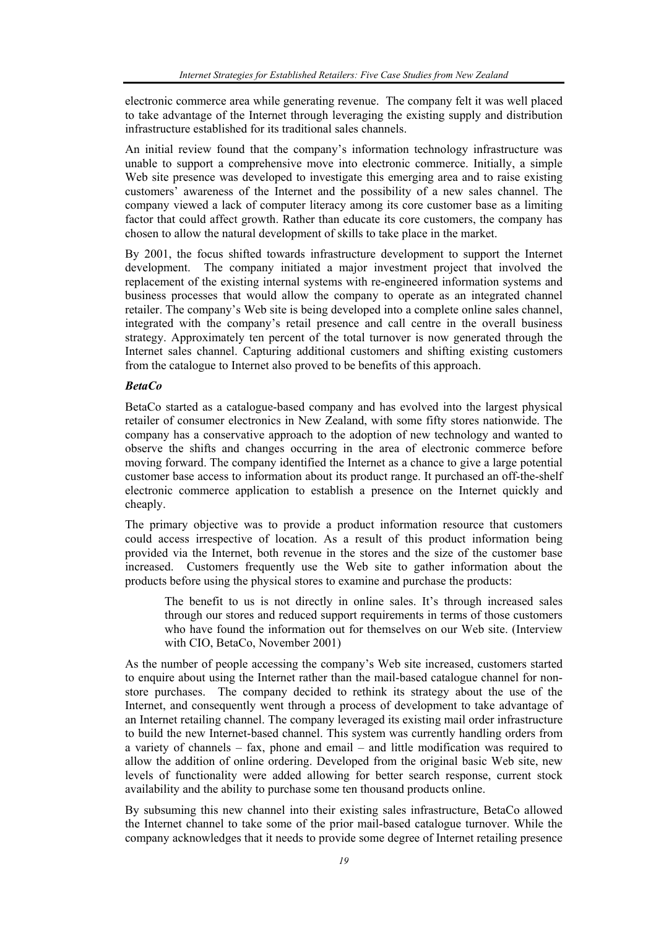electronic commerce area while generating revenue. The company felt it was well placed to take advantage of the Internet through leveraging the existing supply and distribution infrastructure established for its traditional sales channels.

An initial review found that the company's information technology infrastructure was unable to support a comprehensive move into electronic commerce. Initially, a simple Web site presence was developed to investigate this emerging area and to raise existing customers' awareness of the Internet and the possibility of a new sales channel. The company viewed a lack of computer literacy among its core customer base as a limiting factor that could affect growth. Rather than educate its core customers, the company has chosen to allow the natural development of skills to take place in the market.

By 2001, the focus shifted towards infrastructure development to support the Internet development. The company initiated a major investment project that involved the replacement of the existing internal systems with re-engineered information systems and business processes that would allow the company to operate as an integrated channel retailer. The company's Web site is being developed into a complete online sales channel, integrated with the company's retail presence and call centre in the overall business strategy. Approximately ten percent of the total turnover is now generated through the Internet sales channel. Capturing additional customers and shifting existing customers from the catalogue to Internet also proved to be benefits of this approach.

## *BetaCo*

BetaCo started as a catalogue-based company and has evolved into the largest physical retailer of consumer electronics in New Zealand, with some fifty stores nationwide. The company has a conservative approach to the adoption of new technology and wanted to observe the shifts and changes occurring in the area of electronic commerce before moving forward. The company identified the Internet as a chance to give a large potential customer base access to information about its product range. It purchased an off-the-shelf electronic commerce application to establish a presence on the Internet quickly and cheaply.

The primary objective was to provide a product information resource that customers could access irrespective of location. As a result of this product information being provided via the Internet, both revenue in the stores and the size of the customer base increased. Customers frequently use the Web site to gather information about the products before using the physical stores to examine and purchase the products:

The benefit to us is not directly in online sales. It's through increased sales through our stores and reduced support requirements in terms of those customers who have found the information out for themselves on our Web site. (Interview with CIO, BetaCo, November 2001)

As the number of people accessing the company's Web site increased, customers started to enquire about using the Internet rather than the mail-based catalogue channel for nonstore purchases. The company decided to rethink its strategy about the use of the Internet, and consequently went through a process of development to take advantage of an Internet retailing channel. The company leveraged its existing mail order infrastructure to build the new Internet-based channel. This system was currently handling orders from a variety of channels – fax, phone and email – and little modification was required to allow the addition of online ordering. Developed from the original basic Web site, new levels of functionality were added allowing for better search response, current stock availability and the ability to purchase some ten thousand products online.

By subsuming this new channel into their existing sales infrastructure, BetaCo allowed the Internet channel to take some of the prior mail-based catalogue turnover. While the company acknowledges that it needs to provide some degree of Internet retailing presence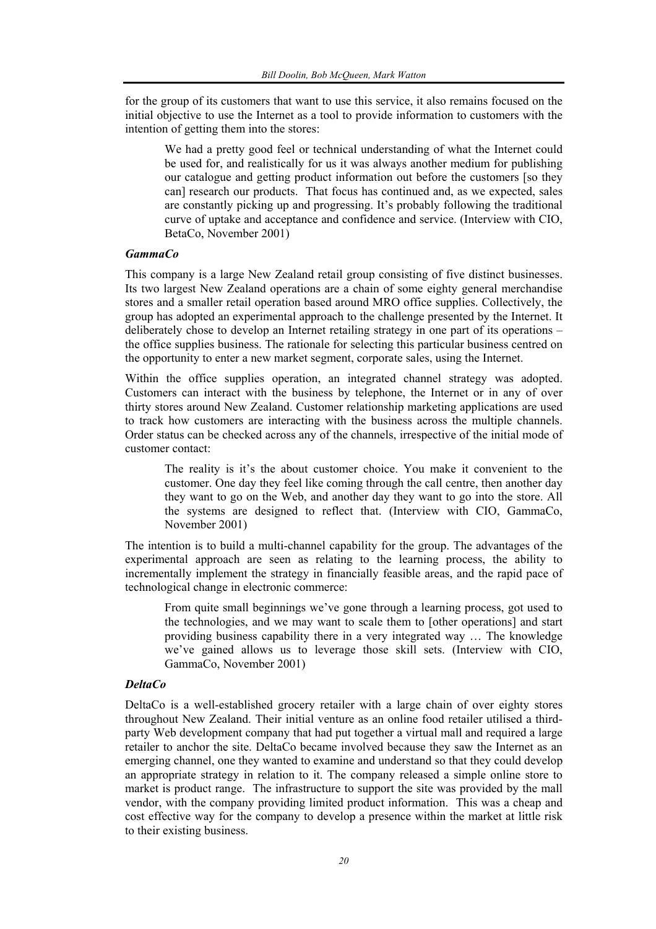for the group of its customers that want to use this service, it also remains focused on the initial objective to use the Internet as a tool to provide information to customers with the intention of getting them into the stores:

We had a pretty good feel or technical understanding of what the Internet could be used for, and realistically for us it was always another medium for publishing our catalogue and getting product information out before the customers [so they can] research our products. That focus has continued and, as we expected, sales are constantly picking up and progressing. It's probably following the traditional curve of uptake and acceptance and confidence and service. (Interview with CIO, BetaCo, November 2001)

#### *GammaCo*

This company is a large New Zealand retail group consisting of five distinct businesses. Its two largest New Zealand operations are a chain of some eighty general merchandise stores and a smaller retail operation based around MRO office supplies. Collectively, the group has adopted an experimental approach to the challenge presented by the Internet. It deliberately chose to develop an Internet retailing strategy in one part of its operations – the office supplies business. The rationale for selecting this particular business centred on the opportunity to enter a new market segment, corporate sales, using the Internet.

Within the office supplies operation, an integrated channel strategy was adopted. Customers can interact with the business by telephone, the Internet or in any of over thirty stores around New Zealand. Customer relationship marketing applications are used to track how customers are interacting with the business across the multiple channels. Order status can be checked across any of the channels, irrespective of the initial mode of customer contact:

The reality is it's the about customer choice. You make it convenient to the customer. One day they feel like coming through the call centre, then another day they want to go on the Web, and another day they want to go into the store. All the systems are designed to reflect that. (Interview with CIO, GammaCo, November 2001)

The intention is to build a multi-channel capability for the group. The advantages of the experimental approach are seen as relating to the learning process, the ability to incrementally implement the strategy in financially feasible areas, and the rapid pace of technological change in electronic commerce:

From quite small beginnings we've gone through a learning process, got used to the technologies, and we may want to scale them to [other operations] and start providing business capability there in a very integrated way … The knowledge we've gained allows us to leverage those skill sets. (Interview with CIO, GammaCo, November 2001)

#### *DeltaCo*

DeltaCo is a well-established grocery retailer with a large chain of over eighty stores throughout New Zealand. Their initial venture as an online food retailer utilised a thirdparty Web development company that had put together a virtual mall and required a large retailer to anchor the site. DeltaCo became involved because they saw the Internet as an emerging channel, one they wanted to examine and understand so that they could develop an appropriate strategy in relation to it. The company released a simple online store to market is product range. The infrastructure to support the site was provided by the mall vendor, with the company providing limited product information. This was a cheap and cost effective way for the company to develop a presence within the market at little risk to their existing business.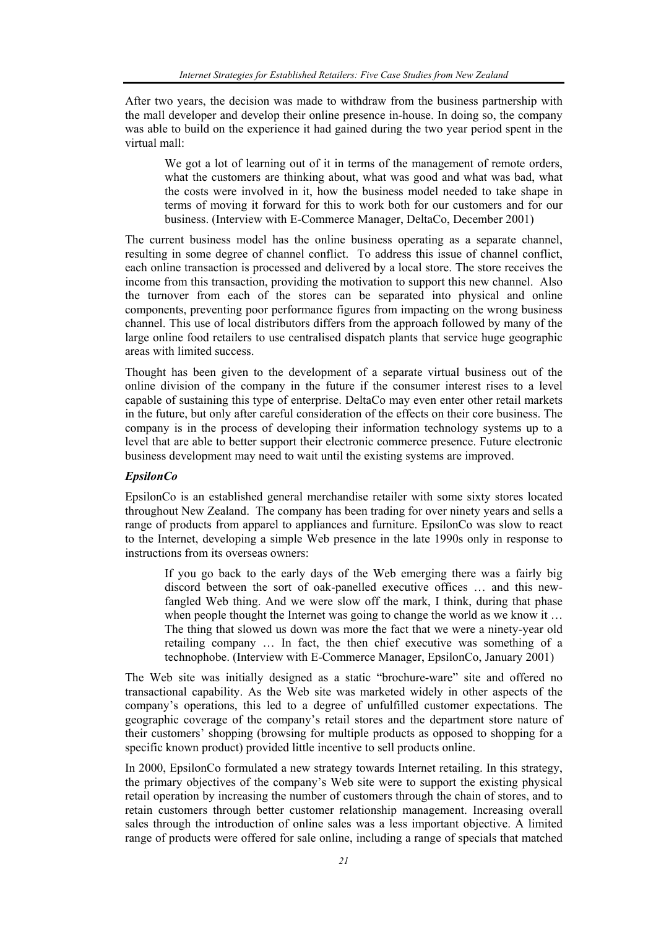After two years, the decision was made to withdraw from the business partnership with the mall developer and develop their online presence in-house. In doing so, the company was able to build on the experience it had gained during the two year period spent in the virtual mall:

We got a lot of learning out of it in terms of the management of remote orders, what the customers are thinking about, what was good and what was bad, what the costs were involved in it, how the business model needed to take shape in terms of moving it forward for this to work both for our customers and for our business. (Interview with E-Commerce Manager, DeltaCo, December 2001)

The current business model has the online business operating as a separate channel, resulting in some degree of channel conflict. To address this issue of channel conflict, each online transaction is processed and delivered by a local store. The store receives the income from this transaction, providing the motivation to support this new channel. Also the turnover from each of the stores can be separated into physical and online components, preventing poor performance figures from impacting on the wrong business channel. This use of local distributors differs from the approach followed by many of the large online food retailers to use centralised dispatch plants that service huge geographic areas with limited success.

Thought has been given to the development of a separate virtual business out of the online division of the company in the future if the consumer interest rises to a level capable of sustaining this type of enterprise. DeltaCo may even enter other retail markets in the future, but only after careful consideration of the effects on their core business. The company is in the process of developing their information technology systems up to a level that are able to better support their electronic commerce presence. Future electronic business development may need to wait until the existing systems are improved.

## *EpsilonCo*

EpsilonCo is an established general merchandise retailer with some sixty stores located throughout New Zealand. The company has been trading for over ninety years and sells a range of products from apparel to appliances and furniture. EpsilonCo was slow to react to the Internet, developing a simple Web presence in the late 1990s only in response to instructions from its overseas owners:

If you go back to the early days of the Web emerging there was a fairly big discord between the sort of oak-panelled executive offices … and this newfangled Web thing. And we were slow off the mark, I think, during that phase when people thought the Internet was going to change the world as we know it ... The thing that slowed us down was more the fact that we were a ninety-year old retailing company … In fact, the then chief executive was something of a technophobe. (Interview with E-Commerce Manager, EpsilonCo, January 2001)

The Web site was initially designed as a static "brochure-ware" site and offered no transactional capability. As the Web site was marketed widely in other aspects of the company's operations, this led to a degree of unfulfilled customer expectations. The geographic coverage of the company's retail stores and the department store nature of their customers' shopping (browsing for multiple products as opposed to shopping for a specific known product) provided little incentive to sell products online.

In 2000, EpsilonCo formulated a new strategy towards Internet retailing. In this strategy, the primary objectives of the company's Web site were to support the existing physical retail operation by increasing the number of customers through the chain of stores, and to retain customers through better customer relationship management. Increasing overall sales through the introduction of online sales was a less important objective. A limited range of products were offered for sale online, including a range of specials that matched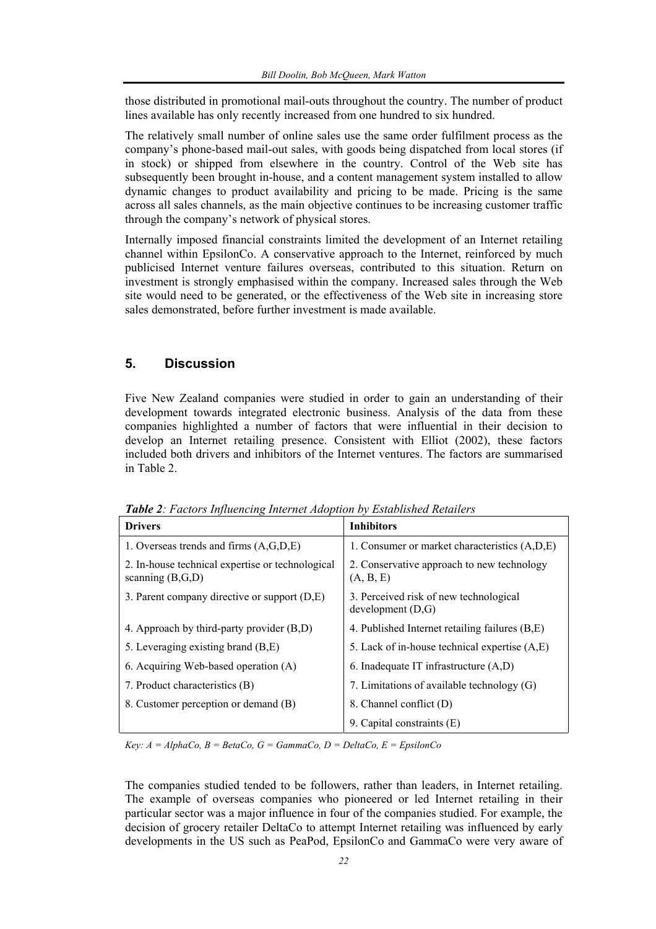those distributed in promotional mail-outs throughout the country. The number of product lines available has only recently increased from one hundred to six hundred.

The relatively small number of online sales use the same order fulfilment process as the company's phone-based mail-out sales, with goods being dispatched from local stores (if in stock) or shipped from elsewhere in the country. Control of the Web site has subsequently been brought in-house, and a content management system installed to allow dynamic changes to product availability and pricing to be made. Pricing is the same across all sales channels, as the main objective continues to be increasing customer traffic through the company's network of physical stores.

Internally imposed financial constraints limited the development of an Internet retailing channel within EpsilonCo. A conservative approach to the Internet, reinforced by much publicised Internet venture failures overseas, contributed to this situation. Return on investment is strongly emphasised within the company. Increased sales through the Web site would need to be generated, or the effectiveness of the Web site in increasing store sales demonstrated, before further investment is made available.

## **5. Discussion**

Five New Zealand companies were studied in order to gain an understanding of their development towards integrated electronic business. Analysis of the data from these companies highlighted a number of factors that were influential in their decision to develop an Internet retailing presence. Consistent with Elliot (2002), these factors included both drivers and inhibitors of the Internet ventures. The factors are summarised in Table 2.

| <b>Drivers</b>                                                         | <b>Inhibitors</b>                                          |  |
|------------------------------------------------------------------------|------------------------------------------------------------|--|
| 1. Overseas trends and firms $(A, G, D, E)$                            | 1. Consumer or market characteristics (A,D,E)              |  |
| 2. In-house technical expertise or technological<br>scanning $(B,G,D)$ | 2. Conservative approach to new technology<br>(A, B, E)    |  |
| 3. Parent company directive or support $(D,E)$                         | 3. Perceived risk of new technological<br>development(D,G) |  |
| 4. Approach by third-party provider (B,D)                              | 4. Published Internet retailing failures (B,E)             |  |
| 5. Leveraging existing brand (B,E)                                     | 5. Lack of in-house technical expertise (A,E)              |  |
| 6. Acquiring Web-based operation (A)                                   | 6. Inadequate IT infrastructure (A,D)                      |  |
| 7. Product characteristics (B)                                         | 7. Limitations of available technology (G)                 |  |
| 8. Customer perception or demand (B)                                   | 8. Channel conflict (D)                                    |  |
|                                                                        | 9. Capital constraints (E)                                 |  |

*Table 2: Factors Influencing Internet Adoption by Established Retailers* 

 $Key: A = AlphaCo, B = BetaCo, G = GammaCo, D = DeltaCo, E = EspilonCo$ 

The companies studied tended to be followers, rather than leaders, in Internet retailing. The example of overseas companies who pioneered or led Internet retailing in their particular sector was a major influence in four of the companies studied. For example, the decision of grocery retailer DeltaCo to attempt Internet retailing was influenced by early developments in the US such as PeaPod, EpsilonCo and GammaCo were very aware of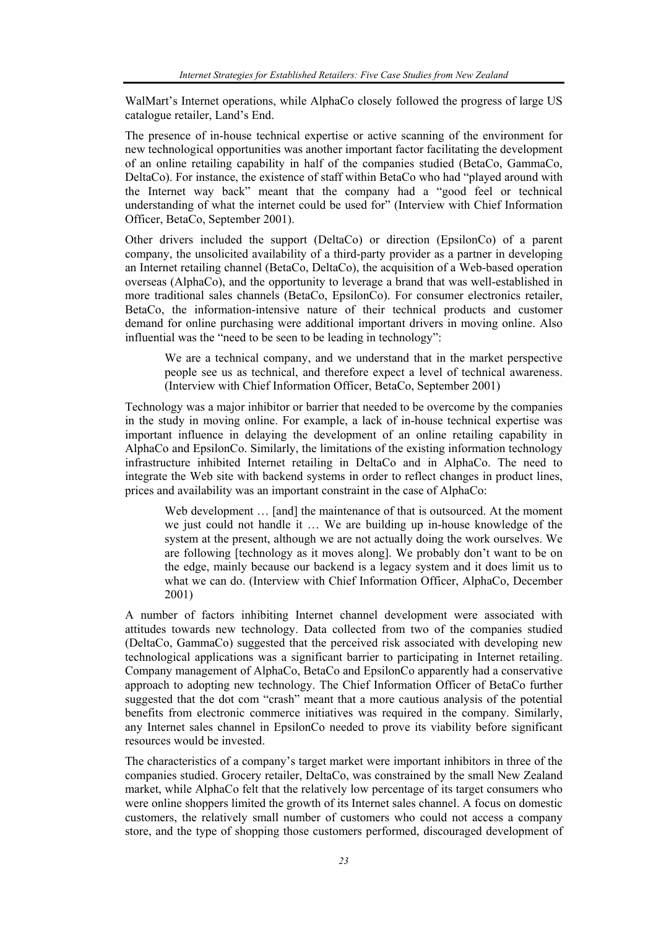WalMart's Internet operations, while AlphaCo closely followed the progress of large US catalogue retailer, Land's End.

The presence of in-house technical expertise or active scanning of the environment for new technological opportunities was another important factor facilitating the development of an online retailing capability in half of the companies studied (BetaCo, GammaCo, DeltaCo). For instance, the existence of staff within BetaCo who had "played around with the Internet way back" meant that the company had a "good feel or technical understanding of what the internet could be used for" (Interview with Chief Information Officer, BetaCo, September 2001).

Other drivers included the support (DeltaCo) or direction (EpsilonCo) of a parent company, the unsolicited availability of a third-party provider as a partner in developing an Internet retailing channel (BetaCo, DeltaCo), the acquisition of a Web-based operation overseas (AlphaCo), and the opportunity to leverage a brand that was well-established in more traditional sales channels (BetaCo, EpsilonCo). For consumer electronics retailer, BetaCo, the information-intensive nature of their technical products and customer demand for online purchasing were additional important drivers in moving online. Also influential was the "need to be seen to be leading in technology":

We are a technical company, and we understand that in the market perspective people see us as technical, and therefore expect a level of technical awareness. (Interview with Chief Information Officer, BetaCo, September 2001)

Technology was a major inhibitor or barrier that needed to be overcome by the companies in the study in moving online. For example, a lack of in-house technical expertise was important influence in delaying the development of an online retailing capability in AlphaCo and EpsilonCo. Similarly, the limitations of the existing information technology infrastructure inhibited Internet retailing in DeltaCo and in AlphaCo. The need to integrate the Web site with backend systems in order to reflect changes in product lines, prices and availability was an important constraint in the case of AlphaCo:

Web development ... [and] the maintenance of that is outsourced. At the moment we just could not handle it … We are building up in-house knowledge of the system at the present, although we are not actually doing the work ourselves. We are following [technology as it moves along]. We probably don't want to be on the edge, mainly because our backend is a legacy system and it does limit us to what we can do. (Interview with Chief Information Officer, AlphaCo, December 2001)

A number of factors inhibiting Internet channel development were associated with attitudes towards new technology. Data collected from two of the companies studied (DeltaCo, GammaCo) suggested that the perceived risk associated with developing new technological applications was a significant barrier to participating in Internet retailing. Company management of AlphaCo, BetaCo and EpsilonCo apparently had a conservative approach to adopting new technology. The Chief Information Officer of BetaCo further suggested that the dot com "crash" meant that a more cautious analysis of the potential benefits from electronic commerce initiatives was required in the company. Similarly, any Internet sales channel in EpsilonCo needed to prove its viability before significant resources would be invested.

The characteristics of a company's target market were important inhibitors in three of the companies studied. Grocery retailer, DeltaCo, was constrained by the small New Zealand market, while AlphaCo felt that the relatively low percentage of its target consumers who were online shoppers limited the growth of its Internet sales channel. A focus on domestic customers, the relatively small number of customers who could not access a company store, and the type of shopping those customers performed, discouraged development of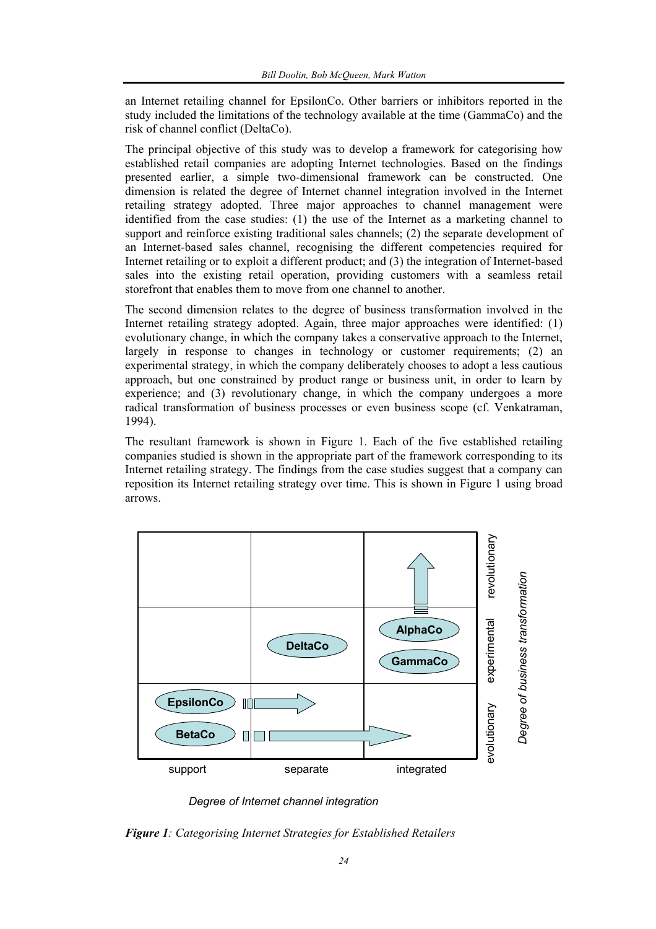an Internet retailing channel for EpsilonCo. Other barriers or inhibitors reported in the study included the limitations of the technology available at the time (GammaCo) and the risk of channel conflict (DeltaCo).

The principal objective of this study was to develop a framework for categorising how established retail companies are adopting Internet technologies. Based on the findings presented earlier, a simple two-dimensional framework can be constructed. One dimension is related the degree of Internet channel integration involved in the Internet retailing strategy adopted. Three major approaches to channel management were identified from the case studies: (1) the use of the Internet as a marketing channel to support and reinforce existing traditional sales channels; (2) the separate development of an Internet-based sales channel, recognising the different competencies required for Internet retailing or to exploit a different product; and (3) the integration of Internet-based sales into the existing retail operation, providing customers with a seamless retail storefront that enables them to move from one channel to another.

The second dimension relates to the degree of business transformation involved in the Internet retailing strategy adopted. Again, three major approaches were identified: (1) evolutionary change, in which the company takes a conservative approach to the Internet, largely in response to changes in technology or customer requirements; (2) an experimental strategy, in which the company deliberately chooses to adopt a less cautious approach, but one constrained by product range or business unit, in order to learn by experience; and (3) revolutionary change, in which the company undergoes a more radical transformation of business processes or even business scope (cf. Venkatraman, 1994).

The resultant framework is shown in Figure 1. Each of the five established retailing companies studied is shown in the appropriate part of the framework corresponding to its Internet retailing strategy. The findings from the case studies suggest that a company can reposition its Internet retailing strategy over time. This is shown in Figure 1 using broad arrows.



*Degree of Internet channel integration*

*Figure 1: Categorising Internet Strategies for Established Retailers*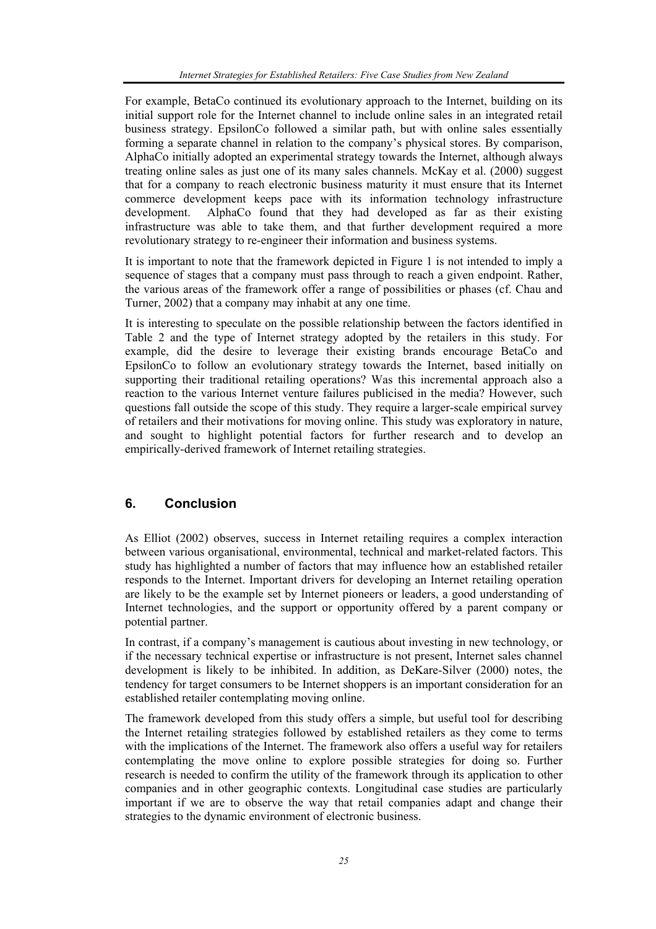For example, BetaCo continued its evolutionary approach to the Internet, building on its initial support role for the Internet channel to include online sales in an integrated retail business strategy. EpsilonCo followed a similar path, but with online sales essentially forming a separate channel in relation to the company's physical stores. By comparison, AlphaCo initially adopted an experimental strategy towards the Internet, although always treating online sales as just one of its many sales channels. McKay et al. (2000) suggest that for a company to reach electronic business maturity it must ensure that its Internet commerce development keeps pace with its information technology infrastructure development. AlphaCo found that they had developed as far as their existing infrastructure was able to take them, and that further development required a more revolutionary strategy to re-engineer their information and business systems.

It is important to note that the framework depicted in Figure 1 is not intended to imply a sequence of stages that a company must pass through to reach a given endpoint. Rather, the various areas of the framework offer a range of possibilities or phases (cf. Chau and Turner, 2002) that a company may inhabit at any one time.

It is interesting to speculate on the possible relationship between the factors identified in Table 2 and the type of Internet strategy adopted by the retailers in this study. For example, did the desire to leverage their existing brands encourage BetaCo and EpsilonCo to follow an evolutionary strategy towards the Internet, based initially on supporting their traditional retailing operations? Was this incremental approach also a reaction to the various Internet venture failures publicised in the media? However, such questions fall outside the scope of this study. They require a larger-scale empirical survey of retailers and their motivations for moving online. This study was exploratory in nature, and sought to highlight potential factors for further research and to develop an empirically-derived framework of Internet retailing strategies.

# **6. Conclusion**

As Elliot (2002) observes, success in Internet retailing requires a complex interaction between various organisational, environmental, technical and market-related factors. This study has highlighted a number of factors that may influence how an established retailer responds to the Internet. Important drivers for developing an Internet retailing operation are likely to be the example set by Internet pioneers or leaders, a good understanding of Internet technologies, and the support or opportunity offered by a parent company or potential partner.

In contrast, if a company's management is cautious about investing in new technology, or if the necessary technical expertise or infrastructure is not present, Internet sales channel development is likely to be inhibited. In addition, as DeKare-Silver (2000) notes, the tendency for target consumers to be Internet shoppers is an important consideration for an established retailer contemplating moving online.

The framework developed from this study offers a simple, but useful tool for describing the Internet retailing strategies followed by established retailers as they come to terms with the implications of the Internet. The framework also offers a useful way for retailers contemplating the move online to explore possible strategies for doing so. Further research is needed to confirm the utility of the framework through its application to other companies and in other geographic contexts. Longitudinal case studies are particularly important if we are to observe the way that retail companies adapt and change their strategies to the dynamic environment of electronic business.